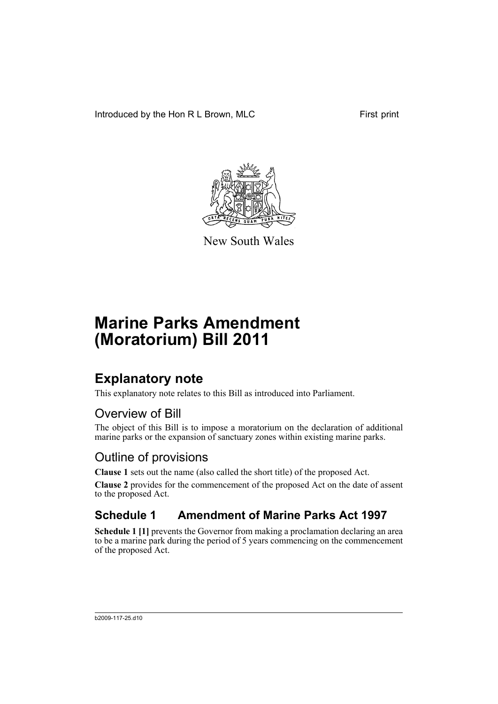Introduced by the Hon R L Brown, MLC First print



New South Wales

# **Marine Parks Amendment (Moratorium) Bill 2011**

### **Explanatory note**

This explanatory note relates to this Bill as introduced into Parliament.

#### Overview of Bill

The object of this Bill is to impose a moratorium on the declaration of additional marine parks or the expansion of sanctuary zones within existing marine parks.

#### Outline of provisions

**Clause 1** sets out the name (also called the short title) of the proposed Act.

**Clause 2** provides for the commencement of the proposed Act on the date of assent to the proposed Act.

### **Schedule 1 Amendment of Marine Parks Act 1997**

**Schedule 1 [1]** prevents the Governor from making a proclamation declaring an area to be a marine park during the period of 5 years commencing on the commencement of the proposed Act.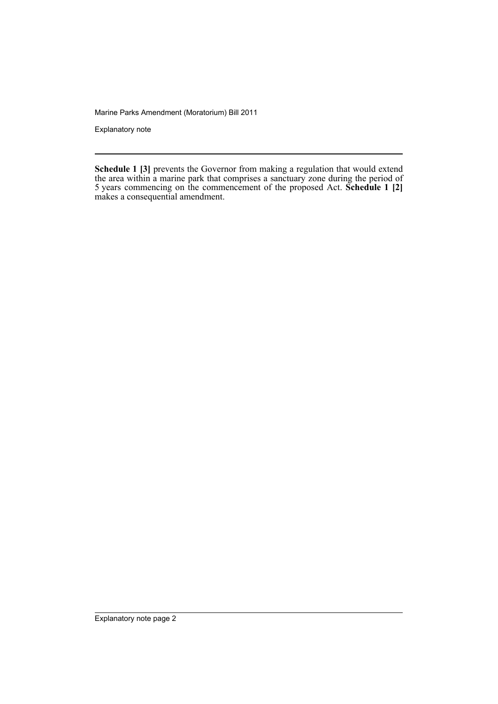Marine Parks Amendment (Moratorium) Bill 2011

Explanatory note

**Schedule 1 [3]** prevents the Governor from making a regulation that would extend the area within a marine park that comprises a sanctuary zone during the period of 5 years commencing on the commencement of the proposed Act. **Schedule 1 [2]** makes a consequential amendment.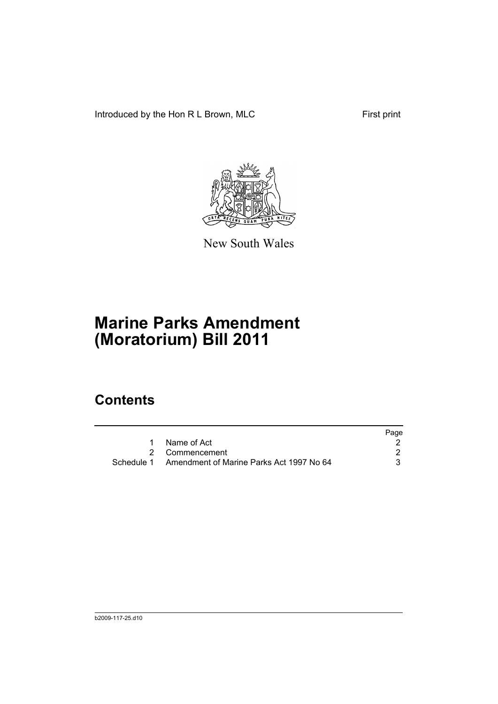Introduced by the Hon R L Brown, MLC First print



New South Wales

# **Marine Parks Amendment (Moratorium) Bill 2011**

### **Contents**

|                                                     | Page |
|-----------------------------------------------------|------|
| Name of Act                                         |      |
| 2 Commencement                                      |      |
| Schedule 1 Amendment of Marine Parks Act 1997 No 64 |      |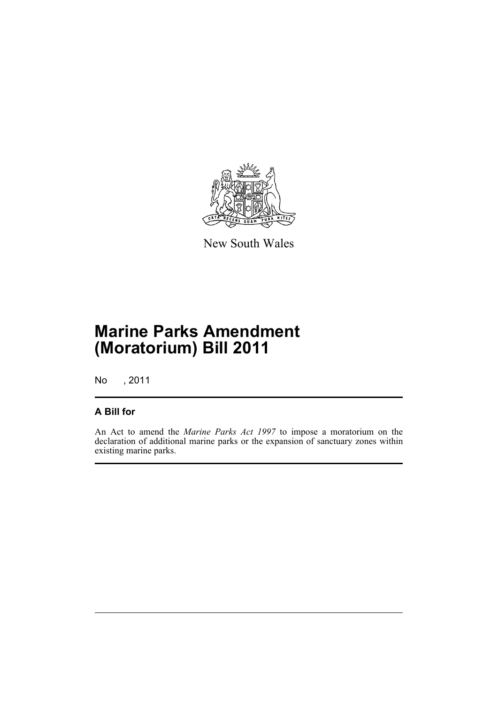

New South Wales

## **Marine Parks Amendment (Moratorium) Bill 2011**

No , 2011

#### **A Bill for**

An Act to amend the *Marine Parks Act 1997* to impose a moratorium on the declaration of additional marine parks or the expansion of sanctuary zones within existing marine parks.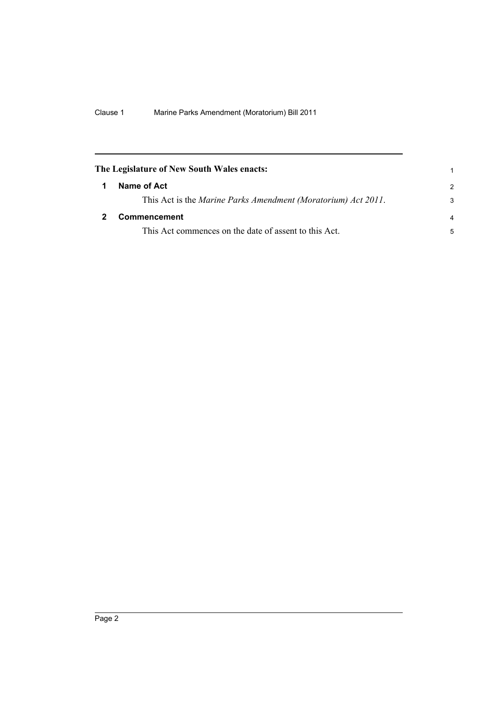<span id="page-5-1"></span><span id="page-5-0"></span>

| The Legislature of New South Wales enacts:                    |               |
|---------------------------------------------------------------|---------------|
| Name of Act                                                   | $\mathcal{P}$ |
| This Act is the Marine Parks Amendment (Moratorium) Act 2011. | 3             |
| <b>Commencement</b>                                           |               |
| This Act commences on the date of assent to this Act.         | 5             |